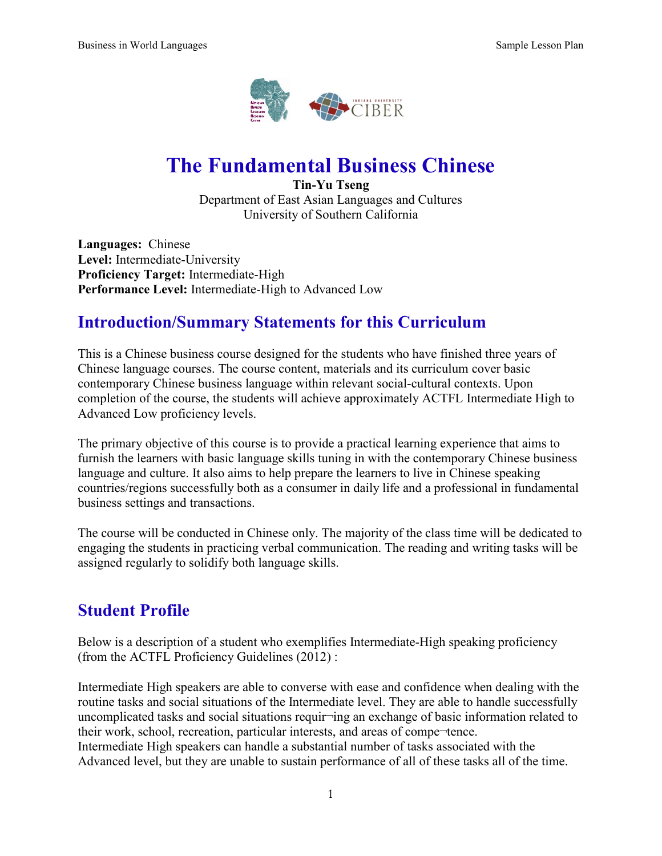

# **The Fundamental Business Chinese**

**Tin-Yu Tseng** Department of East Asian Languages and Cultures University of Southern California

**Languages:** Chinese **Level:** Intermediate-University **Proficiency Target:** Intermediate-High **Performance Level:** Intermediate-High to Advanced Low

## **Introduction/Summary Statements for this Curriculum**

This is a Chinese business course designed for the students who have finished three years of Chinese language courses. The course content, materials and its curriculum cover basic contemporary Chinese business language within relevant social-cultural contexts. Upon completion of the course, the students will achieve approximately ACTFL Intermediate High to Advanced Low proficiency levels.

The primary objective of this course is to provide a practical learning experience that aims to furnish the learners with basic language skills tuning in with the contemporary Chinese business language and culture. It also aims to help prepare the learners to live in Chinese speaking countries/regions successfully both as a consumer in daily life and a professional in fundamental business settings and transactions.

The course will be conducted in Chinese only. The majority of the class time will be dedicated to engaging the students in practicing verbal communication. The reading and writing tasks will be assigned regularly to solidify both language skills.

## **Student Profile**

Below is a description of a student who exemplifies Intermediate-High speaking proficiency (from the ACTFL Proficiency Guidelines (2012) :

Intermediate High speakers are able to converse with ease and confidence when dealing with the routine tasks and social situations of the Intermediate level. They are able to handle successfully uncomplicated tasks and social situations requir¬ing an exchange of basic information related to their work, school, recreation, particular interests, and areas of compe¬tence. Intermediate High speakers can handle a substantial number of tasks associated with the Advanced level, but they are unable to sustain performance of all of these tasks all of the time.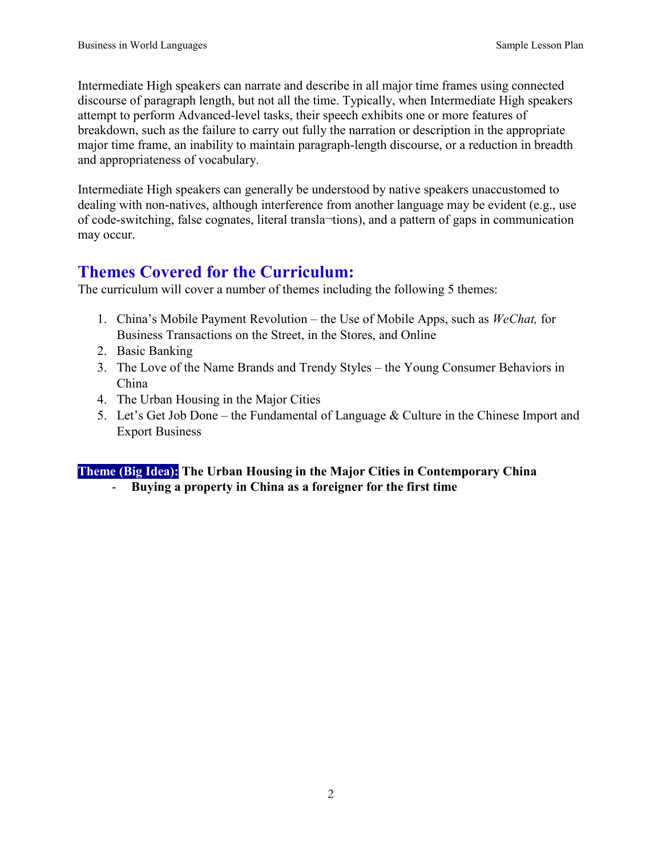Intermediate High speakers can narrate and describe in all major time frames using connected discourse of paragraph length, but not all the time. Typically, when Intermediate High speakers attempt to perform Advanced-level tasks, their speech exhibits one or more features of breakdown, such as the failure to carry out fully the narration or description in the appropriate major time frame, an inability to maintain paragraph-length discourse, or a reduction in breadth and appropriateness of vocabulary.

Intermediate High speakers can generally be understood by native speakers unaccustomed to dealing with non-natives, although interference from another language may be evident (e.g., use of code-switching, false cognates, literal transla¬tions), and a pattern of gaps in communication may occur.

## **Themes Covered for the Curriculum:**

The curriculum will cover a number of themes including the following 5 themes:

- 1. China's Mobile Payment Revolution the Use of Mobile Apps, such as *WeChat,* for Business Transactions on the Street, in the Stores, and Online
- 2. Basic Banking
- 3. The Love of the Name Brands and Trendy Styles the Young Consumer Behaviors in China
- 4. The Urban Housing in the Major Cities
- 5. Let's Get Job Done the Fundamental of Language & Culture in the Chinese Import and Export Business

## **Theme (Big Idea): The Urban Housing in the Major Cities in Contemporary China** - **Buying a property in China as a foreigner for the first time**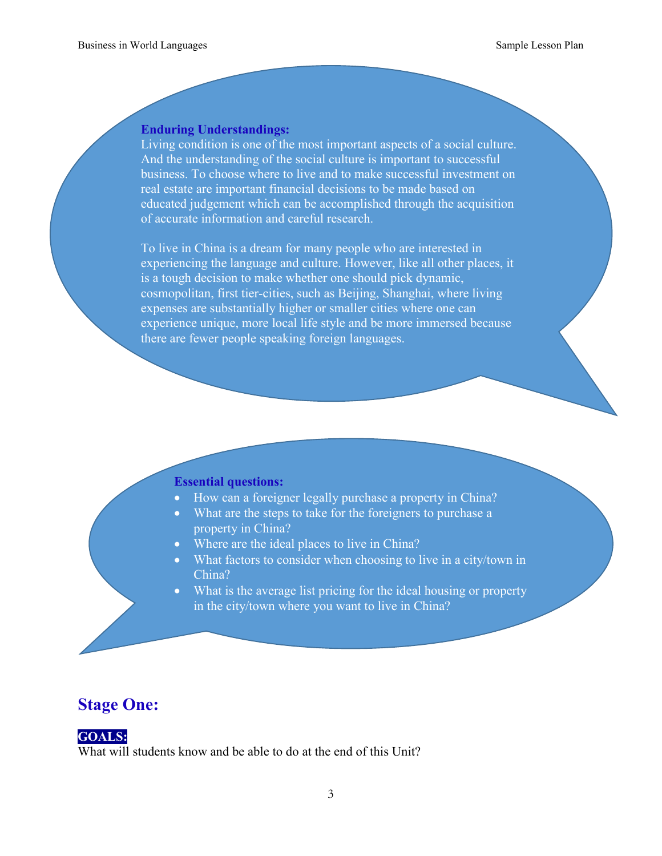#### **Enduring Understandings:**

Living condition is one of the most important aspects of a social culture. And the understanding of the social culture is important to successful business. To choose where to live and to make successful investment on real estate are important financial decisions to be made based on educated judgement which can be accomplished through the acquisition of accurate information and careful research.

To live in China is a dream for many people who are interested in experiencing the language and culture. However, like all other places, it is a tough decision to make whether one should pick dynamic, cosmopolitan, first tier-cities, such as Beijing, Shanghai, where living expenses are substantially higher or smaller cities where one can experience unique, more local life style and be more immersed because there are fewer people speaking foreign languages.

#### **Essential questions:**

- How can a foreigner legally purchase a property in China?
- What are the steps to take for the foreigners to purchase a property in China?
- Where are the ideal places to live in China?
- What factors to consider when choosing to live in a city/town in China?
- What is the average list pricing for the ideal housing or property in the city/town where you want to live in China?

## **Stage One:**

## **GOALS:**

What will students know and be able to do at the end of this Unit?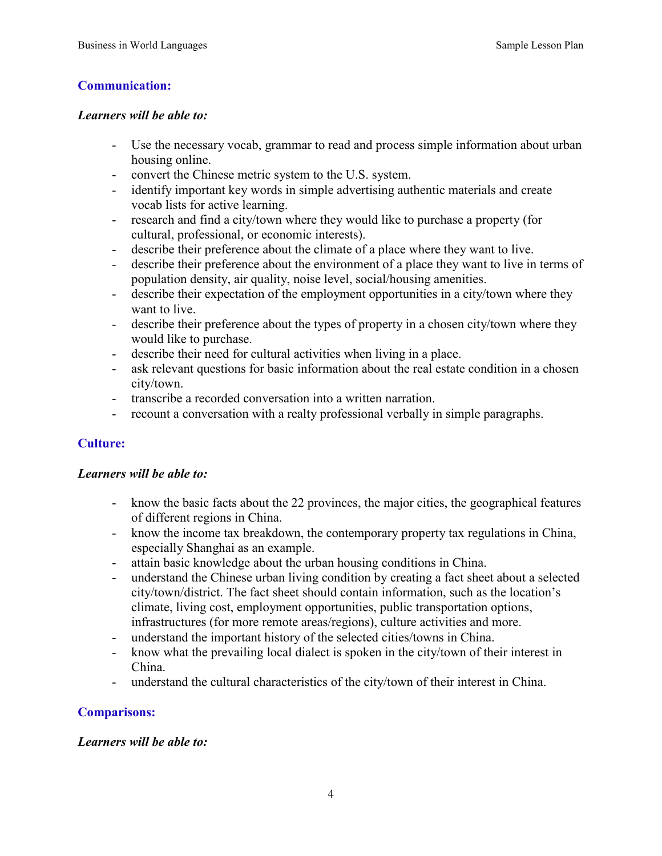## **Communication:**

#### *Learners will be able to:*

- Use the necessary vocab, grammar to read and process simple information about urban housing online.
- convert the Chinese metric system to the U.S. system.
- identify important key words in simple advertising authentic materials and create vocab lists for active learning.
- research and find a city/town where they would like to purchase a property (for cultural, professional, or economic interests).
- describe their preference about the climate of a place where they want to live.
- describe their preference about the environment of a place they want to live in terms of population density, air quality, noise level, social/housing amenities.
- describe their expectation of the employment opportunities in a city/town where they want to live.
- describe their preference about the types of property in a chosen city/town where they would like to purchase.
- describe their need for cultural activities when living in a place.
- ask relevant questions for basic information about the real estate condition in a chosen city/town.
- transcribe a recorded conversation into a written narration.
- recount a conversation with a realty professional verbally in simple paragraphs.

## **Culture:**

## *Learners will be able to:*

- know the basic facts about the 22 provinces, the major cities, the geographical features of different regions in China.
- know the income tax breakdown, the contemporary property tax regulations in China, especially Shanghai as an example.
- attain basic knowledge about the urban housing conditions in China.
- understand the Chinese urban living condition by creating a fact sheet about a selected city/town/district. The fact sheet should contain information, such as the location's climate, living cost, employment opportunities, public transportation options, infrastructures (for more remote areas/regions), culture activities and more.
- understand the important history of the selected cities/towns in China.
- know what the prevailing local dialect is spoken in the city/town of their interest in China.
- understand the cultural characteristics of the city/town of their interest in China.

## **Comparisons:**

## *Learners will be able to:*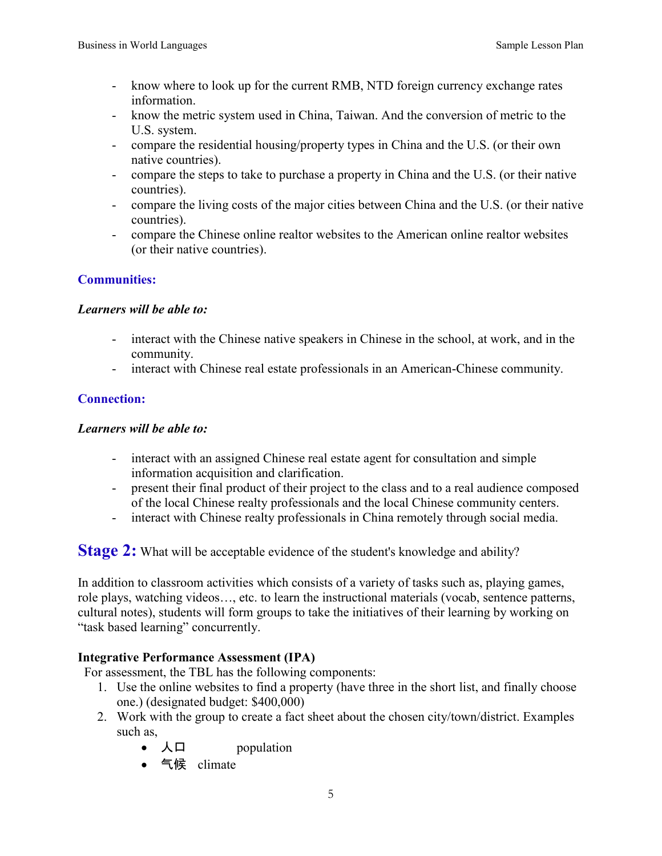- know where to look up for the current RMB, NTD foreign currency exchange rates information.
- know the metric system used in China, Taiwan. And the conversion of metric to the U.S. system.
- compare the residential housing/property types in China and the U.S. (or their own native countries).
- compare the steps to take to purchase a property in China and the U.S. (or their native countries).
- compare the living costs of the major cities between China and the U.S. (or their native countries).
- compare the Chinese online realtor websites to the American online realtor websites (or their native countries).

## **Communities:**

## *Learners will be able to:*

- interact with the Chinese native speakers in Chinese in the school, at work, and in the community.
- interact with Chinese real estate professionals in an American-Chinese community.

## **Connection:**

## *Learners will be able to:*

- interact with an assigned Chinese real estate agent for consultation and simple information acquisition and clarification.
- present their final product of their project to the class and to a real audience composed of the local Chinese realty professionals and the local Chinese community centers.
- interact with Chinese realty professionals in China remotely through social media.

**Stage 2:** What will be acceptable evidence of the student's knowledge and ability?

In addition to classroom activities which consists of a variety of tasks such as, playing games, role plays, watching videos…, etc. to learn the instructional materials (vocab, sentence patterns, cultural notes), students will form groups to take the initiatives of their learning by working on "task based learning" concurrently.

## **Integrative Performance Assessment (IPA)**

For assessment, the TBL has the following components:

- 1. Use the online websites to find a property (have three in the short list, and finally choose one.) (designated budget: \$400,000)
- 2. Work with the group to create a fact sheet about the chosen city/town/district. Examples such as,
	- 人口 population
	- 气候 climate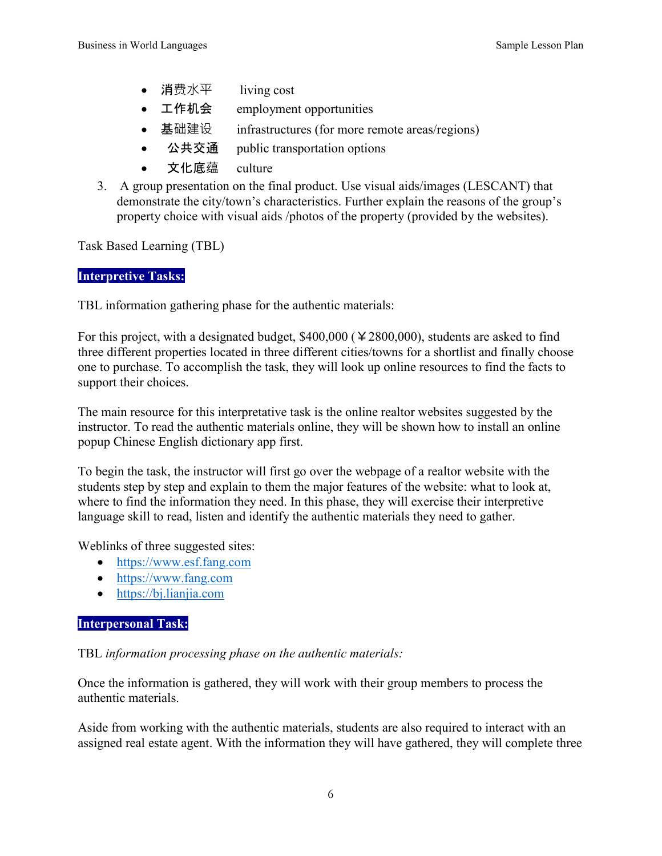- 消费水平 living cost
- 工作机会 employment opportunities
- 基础建设 infrastructures (for more remote areas/regions)
- 公共交通 public transportation options
- 文化底蕴 culture
- 3. A group presentation on the final product. Use visual aids/images (LESCANT) that demonstrate the city/town's characteristics. Further explain the reasons of the group's property choice with visual aids /photos of the property (provided by the websites).

Task Based Learning (TBL)

## **Interpretive Tasks:**

TBL information gathering phase for the authentic materials:

For this project, with a designated budget,  $$400,000$  ( $\yen 2800,000$ ), students are asked to find three different properties located in three different cities/towns for a shortlist and finally choose one to purchase. To accomplish the task, they will look up online resources to find the facts to support their choices.

The main resource for this interpretative task is the online realtor websites suggested by the instructor. To read the authentic materials online, they will be shown how to install an online popup Chinese English dictionary app first.

To begin the task, the instructor will first go over the webpage of a realtor website with the students step by step and explain to them the major features of the website: what to look at, where to find the information they need. In this phase, they will exercise their interpretive language skill to read, listen and identify the authentic materials they need to gather.

Weblinks of three suggested sites:

- [https://www.esf.fang.com](https://www.esf.fang.com/)
- [https://www.fang.com](https://www.fang.com/)
- [https://bj.lianjia.com](https://bj.lianjia.com/)

## **Interpersonal Task:**

TBL *information processing phase on the authentic materials:* 

Once the information is gathered, they will work with their group members to process the authentic materials.

Aside from working with the authentic materials, students are also required to interact with an assigned real estate agent. With the information they will have gathered, they will complete three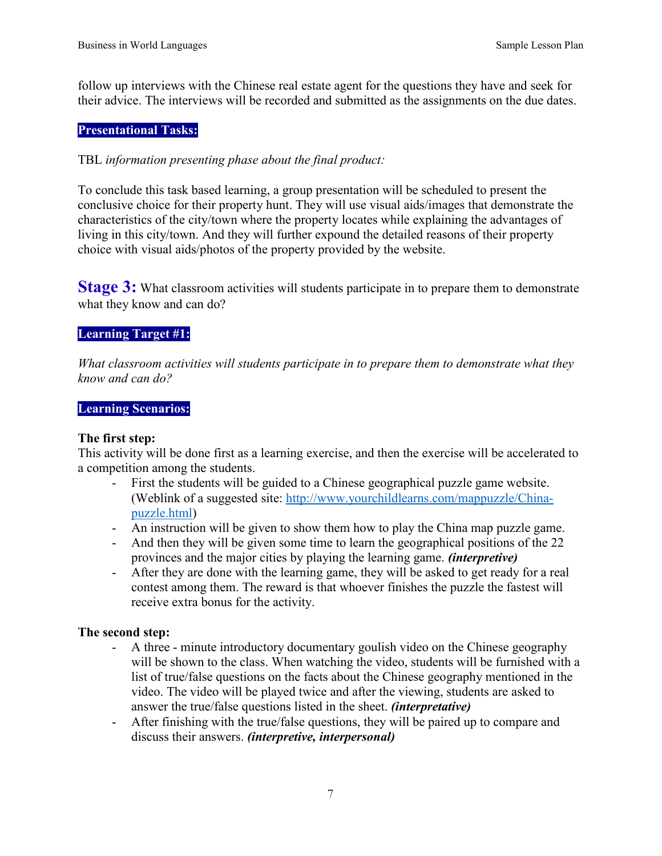follow up interviews with the Chinese real estate agent for the questions they have and seek for their advice. The interviews will be recorded and submitted as the assignments on the due dates.

## **Presentational Tasks:**

## TBL *information presenting phase about the final product:*

To conclude this task based learning, a group presentation will be scheduled to present the conclusive choice for their property hunt. They will use visual aids/images that demonstrate the characteristics of the city/town where the property locates while explaining the advantages of living in this city/town. And they will further expound the detailed reasons of their property choice with visual aids/photos of the property provided by the website.

**Stage 3:** What classroom activities will students participate in to prepare them to demonstrate what they know and can do?

## **Learning Target #1:**

*What classroom activities will students participate in to prepare them to demonstrate what they know and can do?* 

## **Learning Scenarios:**

## **The first step:**

This activity will be done first as a learning exercise, and then the exercise will be accelerated to a competition among the students.

- First the students will be guided to a Chinese geographical puzzle game website. (Weblink of a suggested site: [http://www.yourchildlearns.com/mappuzzle/China](http://www.yourchildlearns.com/mappuzzle/China-puzzle.html)[puzzle.html\)](http://www.yourchildlearns.com/mappuzzle/China-puzzle.html)
- An instruction will be given to show them how to play the China map puzzle game.
- And then they will be given some time to learn the geographical positions of the 22 provinces and the major cities by playing the learning game. *(interpretive)*
- After they are done with the learning game, they will be asked to get ready for a real contest among them. The reward is that whoever finishes the puzzle the fastest will receive extra bonus for the activity.

## **The second step:**

- A three minute introductory documentary goulish video on the Chinese geography will be shown to the class. When watching the video, students will be furnished with a list of true/false questions on the facts about the Chinese geography mentioned in the video. The video will be played twice and after the viewing, students are asked to answer the true/false questions listed in the sheet. *(interpretative)*
- After finishing with the true/false questions, they will be paired up to compare and discuss their answers. *(interpretive, interpersonal)*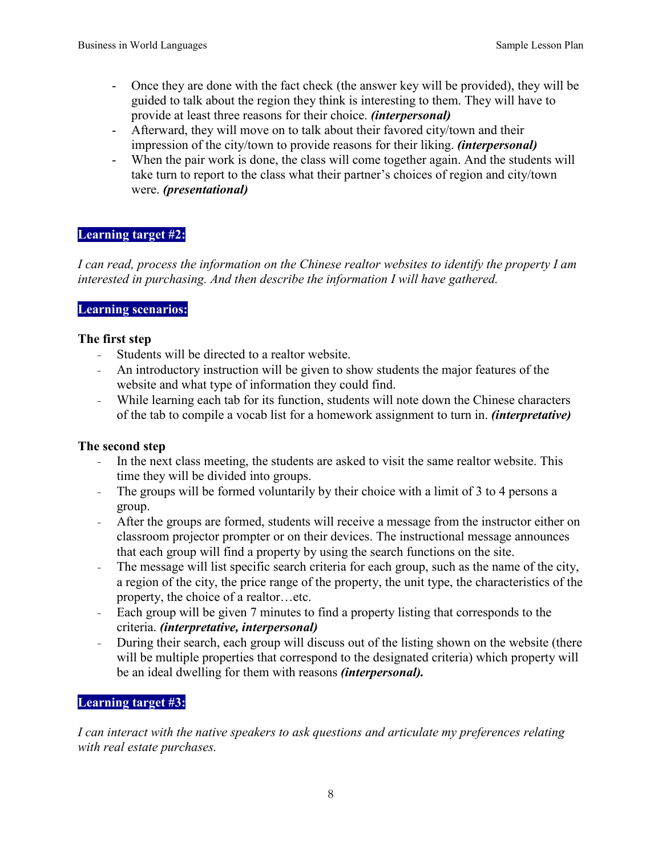- Once they are done with the fact check (the answer key will be provided), they will be guided to talk about the region they think is interesting to them. They will have to provide at least three reasons for their choice. *(interpersonal)*
- Afterward, they will move on to talk about their favored city/town and their impression of the city/town to provide reasons for their liking. *(interpersonal)*
- When the pair work is done, the class will come together again. And the students will take turn to report to the class what their partner's choices of region and city/town were. *(presentational)*

## **Learning target #2:**

*I can read, process the information on the Chinese realtor websites to identify the property I am interested in purchasing. And then describe the information I will have gathered.* 

## **Learning scenarios:**

## **The first step**

- Students will be directed to a realtor website.
- An introductory instruction will be given to show students the major features of the website and what type of information they could find.
- While learning each tab for its function, students will note down the Chinese characters of the tab to compile a vocab list for a homework assignment to turn in. *(interpretative)*

## **The second step**

- In the next class meeting, the students are asked to visit the same realtor website. This time they will be divided into groups.
- The groups will be formed voluntarily by their choice with a limit of 3 to 4 persons a group.
- After the groups are formed, students will receive a message from the instructor either on classroom projector prompter or on their devices. The instructional message announces that each group will find a property by using the search functions on the site.
- The message will list specific search criteria for each group, such as the name of the city, a region of the city, the price range of the property, the unit type, the characteristics of the property, the choice of a realtor…etc.
- Each group will be given 7 minutes to find a property listing that corresponds to the criteria. *(interpretative, interpersonal)*
- During their search, each group will discuss out of the listing shown on the website (there will be multiple properties that correspond to the designated criteria) which property will be an ideal dwelling for them with reasons *(interpersonal).*

## **Learning target #3:**

*I can interact with the native speakers to ask questions and articulate my preferences relating with real estate purchases.*